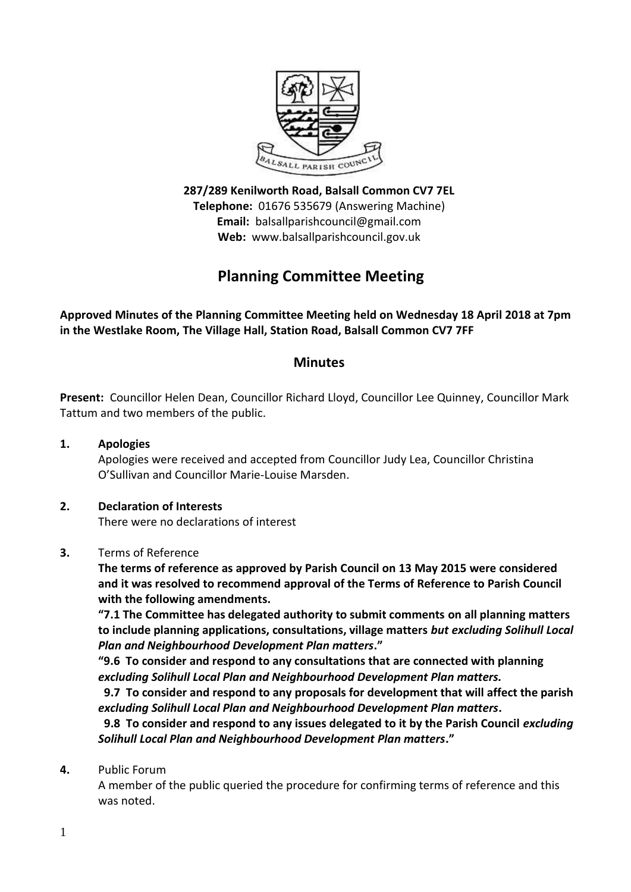

**287/289 Kenilworth Road, Balsall Common CV7 7EL Telephone:** 01676 535679 (Answering Machine) **Email:** balsallparishcouncil@gmail.com **Web:** www.balsallparishcouncil.gov.uk

# **Planning Committee Meeting**

**Approved Minutes of the Planning Committee Meeting held on Wednesday 18 April 2018 at 7pm in the Westlake Room, The Village Hall, Station Road, Balsall Common CV7 7FF**

# **Minutes**

**Present:** Councillor Helen Dean, Councillor Richard Lloyd, Councillor Lee Quinney, Councillor Mark Tattum and two members of the public.

**1. Apologies** Apologies were received and accepted from Councillor Judy Lea, Councillor Christina O'Sullivan and Councillor Marie-Louise Marsden.

## **2. Declaration of Interests**

There were no declarations of interest

#### **3.** Terms of Reference

**The terms of reference as approved by Parish Council on 13 May 2015 were considered and it was resolved to recommend approval of the Terms of Reference to Parish Council with the following amendments.**

**"7.1 The Committee has delegated authority to submit comments on all planning matters to include planning applications, consultations, village matters** *but excluding Solihull Local Plan and Neighbourhood Development Plan matters***."**

**"9.6 To consider and respond to any consultations that are connected with planning**  *excluding Solihull Local Plan and Neighbourhood Development Plan matters.*

 **9.7 To consider and respond to any proposals for development that will affect the parish**  *excluding Solihull Local Plan and Neighbourhood Development Plan matters***.**

**9.8 To consider and respond to any issues delegated to it by the Parish Council** *excluding Solihull Local Plan and Neighbourhood Development Plan matters***."**

**4.** Public Forum

A member of the public queried the procedure for confirming terms of reference and this was noted.